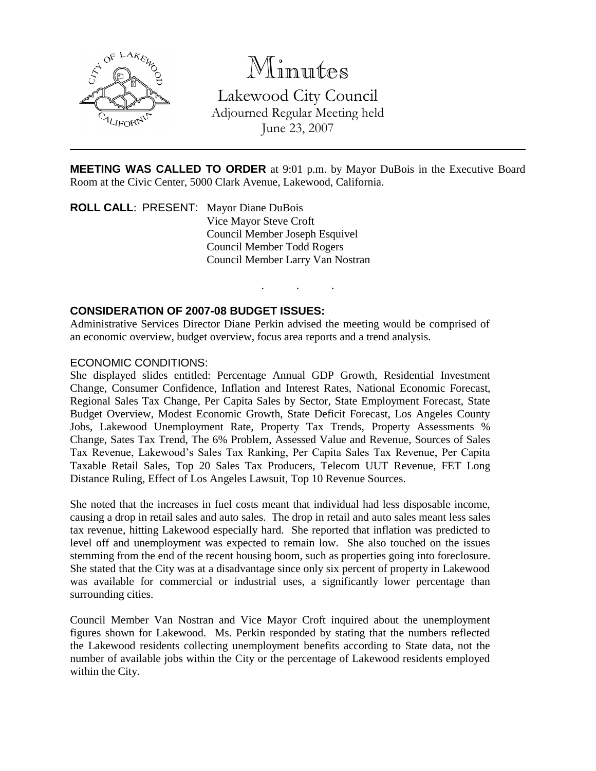

# Minutes

Lakewood City Council Adjourned Regular Meeting held June 23, 2007

**MEETING WAS CALLED TO ORDER** at 9:01 p.m. by Mayor DuBois in the Executive Board Room at the Civic Center, 5000 Clark Avenue, Lakewood, California.

. . .

**ROLL CALL**: PRESENT: Mayor Diane DuBois Vice Mayor Steve Croft Council Member Joseph Esquivel Council Member Todd Rogers Council Member Larry Van Nostran

# **CONSIDERATION OF 2007-08 BUDGET ISSUES:**

Administrative Services Director Diane Perkin advised the meeting would be comprised of an economic overview, budget overview, focus area reports and a trend analysis.

#### ECONOMIC CONDITIONS:

She displayed slides entitled: Percentage Annual GDP Growth, Residential Investment Change, Consumer Confidence, Inflation and Interest Rates, National Economic Forecast, Regional Sales Tax Change, Per Capita Sales by Sector, State Employment Forecast, State Budget Overview, Modest Economic Growth, State Deficit Forecast, Los Angeles County Jobs, Lakewood Unemployment Rate, Property Tax Trends, Property Assessments % Change, Sates Tax Trend, The 6% Problem, Assessed Value and Revenue, Sources of Sales Tax Revenue, Lakewood's Sales Tax Ranking, Per Capita Sales Tax Revenue, Per Capita Taxable Retail Sales, Top 20 Sales Tax Producers, Telecom UUT Revenue, FET Long Distance Ruling, Effect of Los Angeles Lawsuit, Top 10 Revenue Sources.

She noted that the increases in fuel costs meant that individual had less disposable income, causing a drop in retail sales and auto sales. The drop in retail and auto sales meant less sales tax revenue, hitting Lakewood especially hard. She reported that inflation was predicted to level off and unemployment was expected to remain low. She also touched on the issues stemming from the end of the recent housing boom, such as properties going into foreclosure. She stated that the City was at a disadvantage since only six percent of property in Lakewood was available for commercial or industrial uses, a significantly lower percentage than surrounding cities.

Council Member Van Nostran and Vice Mayor Croft inquired about the unemployment figures shown for Lakewood. Ms. Perkin responded by stating that the numbers reflected the Lakewood residents collecting unemployment benefits according to State data, not the number of available jobs within the City or the percentage of Lakewood residents employed within the City.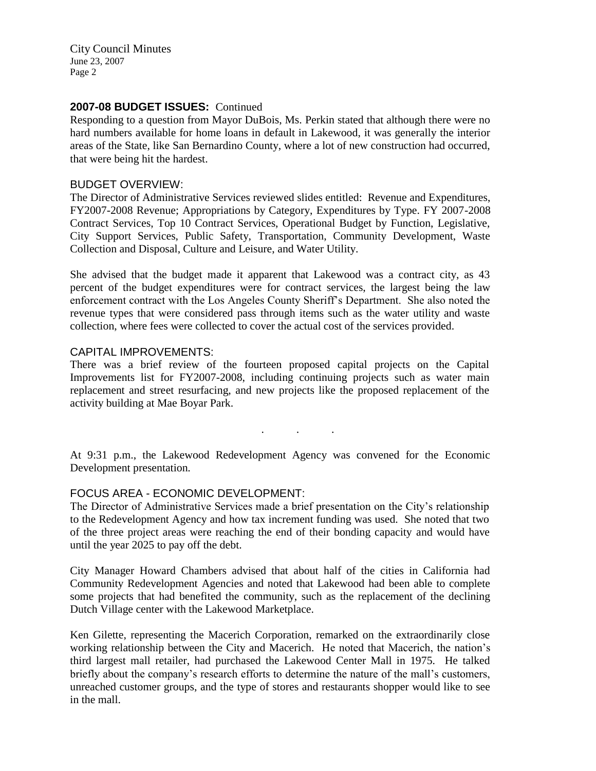## 2007-08 BUDGET ISSUES: Continued

Responding to a question from Mayor DuBois, Ms. Perkin stated that although there were no hard numbers available for home loans in default in Lakewood, it was generally the interior areas of the State, like San Bernardino County, where a lot of new construction had occurred, that were being hit the hardest.

#### BUDGET OVERVIEW:

The Director of Administrative Services reviewed slides entitled: Revenue and Expenditures, FY2007-2008 Revenue; Appropriations by Category, Expenditures by Type. FY 2007-2008 Contract Services, Top 10 Contract Services, Operational Budget by Function, Legislative, City Support Services, Public Safety, Transportation, Community Development, Waste Collection and Disposal, Culture and Leisure, and Water Utility.

She advised that the budget made it apparent that Lakewood was a contract city, as 43 percent of the budget expenditures were for contract services, the largest being the law enforcement contract with the Los Angeles County Sheriff's Department. She also noted the revenue types that were considered pass through items such as the water utility and waste collection, where fees were collected to cover the actual cost of the services provided.

## CAPITAL IMPROVEMENTS:

There was a brief review of the fourteen proposed capital projects on the Capital Improvements list for FY2007-2008, including continuing projects such as water main replacement and street resurfacing, and new projects like the proposed replacement of the activity building at Mae Boyar Park.

. . .

At 9:31 p.m., the Lakewood Redevelopment Agency was convened for the Economic Development presentation.

# FOCUS AREA - ECONOMIC DEVELOPMENT:

The Director of Administrative Services made a brief presentation on the City's relationship to the Redevelopment Agency and how tax increment funding was used. She noted that two of the three project areas were reaching the end of their bonding capacity and would have until the year 2025 to pay off the debt.

City Manager Howard Chambers advised that about half of the cities in California had Community Redevelopment Agencies and noted that Lakewood had been able to complete some projects that had benefited the community, such as the replacement of the declining Dutch Village center with the Lakewood Marketplace.

Ken Gilette, representing the Macerich Corporation, remarked on the extraordinarily close working relationship between the City and Macerich. He noted that Macerich, the nation's third largest mall retailer, had purchased the Lakewood Center Mall in 1975. He talked briefly about the company's research efforts to determine the nature of the mall's customers, unreached customer groups, and the type of stores and restaurants shopper would like to see in the mall.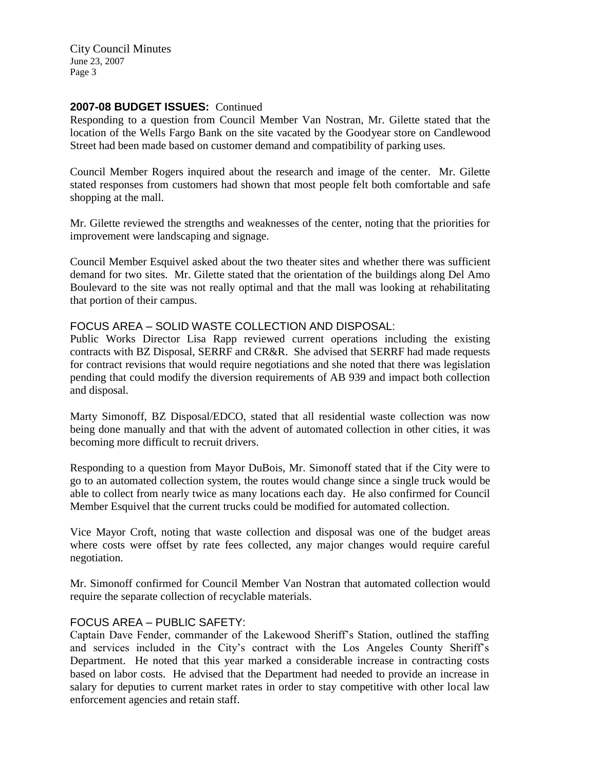## 2007-08 BUDGET ISSUES: Continued

Responding to a question from Council Member Van Nostran, Mr. Gilette stated that the location of the Wells Fargo Bank on the site vacated by the Goodyear store on Candlewood Street had been made based on customer demand and compatibility of parking uses.

Council Member Rogers inquired about the research and image of the center. Mr. Gilette stated responses from customers had shown that most people felt both comfortable and safe shopping at the mall.

Mr. Gilette reviewed the strengths and weaknesses of the center, noting that the priorities for improvement were landscaping and signage.

Council Member Esquivel asked about the two theater sites and whether there was sufficient demand for two sites. Mr. Gilette stated that the orientation of the buildings along Del Amo Boulevard to the site was not really optimal and that the mall was looking at rehabilitating that portion of their campus.

#### FOCUS AREA – SOLID WASTE COLLECTION AND DISPOSAL:

Public Works Director Lisa Rapp reviewed current operations including the existing contracts with BZ Disposal, SERRF and CR&R. She advised that SERRF had made requests for contract revisions that would require negotiations and she noted that there was legislation pending that could modify the diversion requirements of AB 939 and impact both collection and disposal.

Marty Simonoff, BZ Disposal/EDCO, stated that all residential waste collection was now being done manually and that with the advent of automated collection in other cities, it was becoming more difficult to recruit drivers.

Responding to a question from Mayor DuBois, Mr. Simonoff stated that if the City were to go to an automated collection system, the routes would change since a single truck would be able to collect from nearly twice as many locations each day. He also confirmed for Council Member Esquivel that the current trucks could be modified for automated collection.

Vice Mayor Croft, noting that waste collection and disposal was one of the budget areas where costs were offset by rate fees collected, any major changes would require careful negotiation.

Mr. Simonoff confirmed for Council Member Van Nostran that automated collection would require the separate collection of recyclable materials.

# FOCUS AREA – PUBLIC SAFETY:

Captain Dave Fender, commander of the Lakewood Sheriff's Station, outlined the staffing and services included in the City's contract with the Los Angeles County Sheriff's Department. He noted that this year marked a considerable increase in contracting costs based on labor costs. He advised that the Department had needed to provide an increase in salary for deputies to current market rates in order to stay competitive with other local law enforcement agencies and retain staff.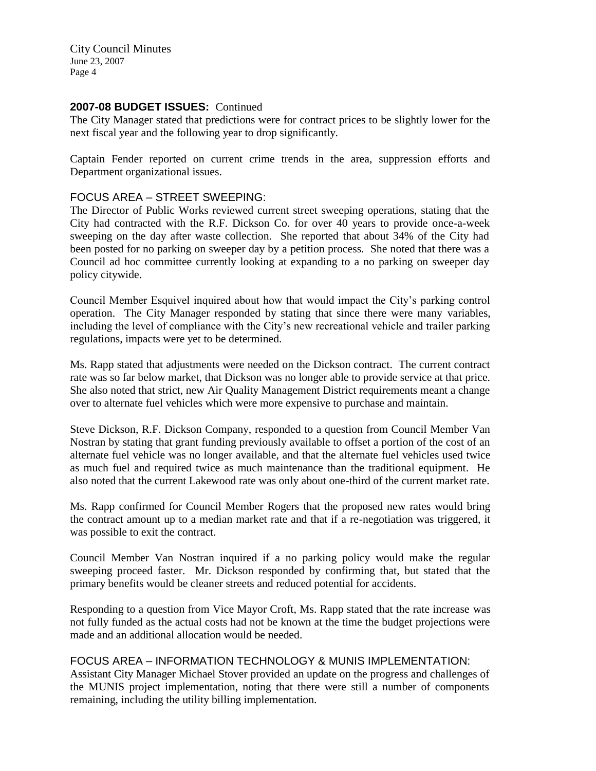## 2007-08 BUDGET ISSUES: Continued

The City Manager stated that predictions were for contract prices to be slightly lower for the next fiscal year and the following year to drop significantly.

Captain Fender reported on current crime trends in the area, suppression efforts and Department organizational issues.

## FOCUS AREA – STREET SWEEPING:

The Director of Public Works reviewed current street sweeping operations, stating that the City had contracted with the R.F. Dickson Co. for over 40 years to provide once-a-week sweeping on the day after waste collection. She reported that about 34% of the City had been posted for no parking on sweeper day by a petition process. She noted that there was a Council ad hoc committee currently looking at expanding to a no parking on sweeper day policy citywide.

Council Member Esquivel inquired about how that would impact the City's parking control operation. The City Manager responded by stating that since there were many variables, including the level of compliance with the City's new recreational vehicle and trailer parking regulations, impacts were yet to be determined.

Ms. Rapp stated that adjustments were needed on the Dickson contract. The current contract rate was so far below market, that Dickson was no longer able to provide service at that price. She also noted that strict, new Air Quality Management District requirements meant a change over to alternate fuel vehicles which were more expensive to purchase and maintain.

Steve Dickson, R.F. Dickson Company, responded to a question from Council Member Van Nostran by stating that grant funding previously available to offset a portion of the cost of an alternate fuel vehicle was no longer available, and that the alternate fuel vehicles used twice as much fuel and required twice as much maintenance than the traditional equipment. He also noted that the current Lakewood rate was only about one-third of the current market rate.

Ms. Rapp confirmed for Council Member Rogers that the proposed new rates would bring the contract amount up to a median market rate and that if a re-negotiation was triggered, it was possible to exit the contract.

Council Member Van Nostran inquired if a no parking policy would make the regular sweeping proceed faster. Mr. Dickson responded by confirming that, but stated that the primary benefits would be cleaner streets and reduced potential for accidents.

Responding to a question from Vice Mayor Croft, Ms. Rapp stated that the rate increase was not fully funded as the actual costs had not be known at the time the budget projections were made and an additional allocation would be needed.

#### FOCUS AREA – INFORMATION TECHNOLOGY & MUNIS IMPLEMENTATION:

Assistant City Manager Michael Stover provided an update on the progress and challenges of the MUNIS project implementation, noting that there were still a number of components remaining, including the utility billing implementation.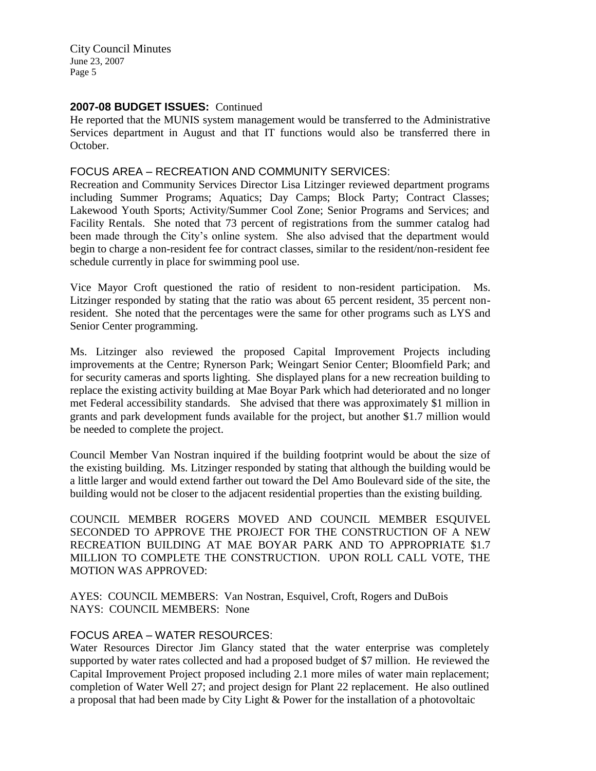## **2007-08 BUDGET ISSUES:** Continued

He reported that the MUNIS system management would be transferred to the Administrative Services department in August and that IT functions would also be transferred there in October.

## FOCUS AREA – RECREATION AND COMMUNITY SERVICES:

Recreation and Community Services Director Lisa Litzinger reviewed department programs including Summer Programs; Aquatics; Day Camps; Block Party; Contract Classes; Lakewood Youth Sports; Activity/Summer Cool Zone; Senior Programs and Services; and Facility Rentals. She noted that 73 percent of registrations from the summer catalog had been made through the City's online system. She also advised that the department would begin to charge a non-resident fee for contract classes, similar to the resident/non-resident fee schedule currently in place for swimming pool use.

Vice Mayor Croft questioned the ratio of resident to non-resident participation. Ms. Litzinger responded by stating that the ratio was about 65 percent resident, 35 percent nonresident. She noted that the percentages were the same for other programs such as LYS and Senior Center programming.

Ms. Litzinger also reviewed the proposed Capital Improvement Projects including improvements at the Centre; Rynerson Park; Weingart Senior Center; Bloomfield Park; and for security cameras and sports lighting. She displayed plans for a new recreation building to replace the existing activity building at Mae Boyar Park which had deteriorated and no longer met Federal accessibility standards. She advised that there was approximately \$1 million in grants and park development funds available for the project, but another \$1.7 million would be needed to complete the project.

Council Member Van Nostran inquired if the building footprint would be about the size of the existing building. Ms. Litzinger responded by stating that although the building would be a little larger and would extend farther out toward the Del Amo Boulevard side of the site, the building would not be closer to the adjacent residential properties than the existing building.

COUNCIL MEMBER ROGERS MOVED AND COUNCIL MEMBER ESQUIVEL SECONDED TO APPROVE THE PROJECT FOR THE CONSTRUCTION OF A NEW RECREATION BUILDING AT MAE BOYAR PARK AND TO APPROPRIATE \$1.7 MILLION TO COMPLETE THE CONSTRUCTION. UPON ROLL CALL VOTE, THE MOTION WAS APPROVED:

AYES: COUNCIL MEMBERS: Van Nostran, Esquivel, Croft, Rogers and DuBois NAYS: COUNCIL MEMBERS: None

# FOCUS AREA – WATER RESOURCES:

Water Resources Director Jim Glancy stated that the water enterprise was completely supported by water rates collected and had a proposed budget of \$7 million. He reviewed the Capital Improvement Project proposed including 2.1 more miles of water main replacement; completion of Water Well 27; and project design for Plant 22 replacement. He also outlined a proposal that had been made by City Light & Power for the installation of a photovoltaic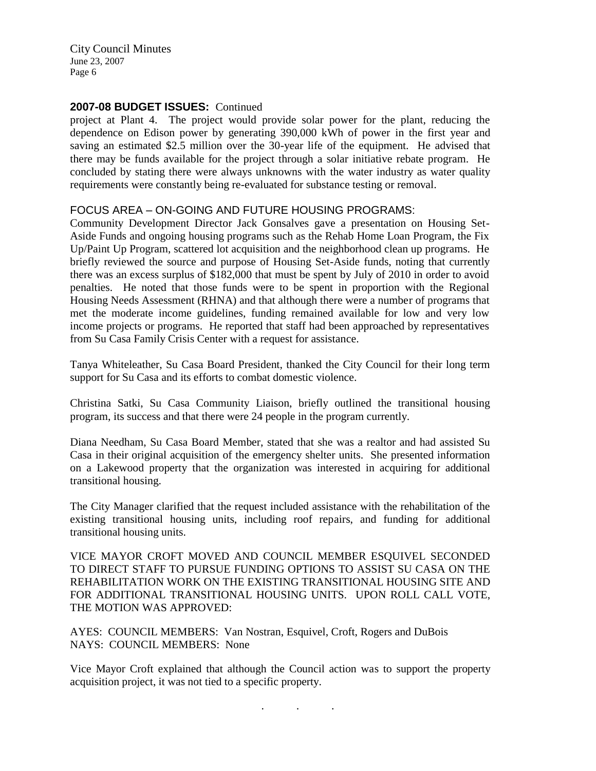## **2007-08 BUDGET ISSUES:** Continued

project at Plant 4. The project would provide solar power for the plant, reducing the dependence on Edison power by generating 390,000 kWh of power in the first year and saving an estimated \$2.5 million over the 30-year life of the equipment. He advised that there may be funds available for the project through a solar initiative rebate program. He concluded by stating there were always unknowns with the water industry as water quality requirements were constantly being re-evaluated for substance testing or removal.

## FOCUS AREA – ON-GOING AND FUTURE HOUSING PROGRAMS:

Community Development Director Jack Gonsalves gave a presentation on Housing Set-Aside Funds and ongoing housing programs such as the Rehab Home Loan Program, the Fix Up/Paint Up Program, scattered lot acquisition and the neighborhood clean up programs. He briefly reviewed the source and purpose of Housing Set-Aside funds, noting that currently there was an excess surplus of \$182,000 that must be spent by July of 2010 in order to avoid penalties. He noted that those funds were to be spent in proportion with the Regional Housing Needs Assessment (RHNA) and that although there were a number of programs that met the moderate income guidelines, funding remained available for low and very low income projects or programs. He reported that staff had been approached by representatives from Su Casa Family Crisis Center with a request for assistance.

Tanya Whiteleather, Su Casa Board President, thanked the City Council for their long term support for Su Casa and its efforts to combat domestic violence.

Christina Satki, Su Casa Community Liaison, briefly outlined the transitional housing program, its success and that there were 24 people in the program currently.

Diana Needham, Su Casa Board Member, stated that she was a realtor and had assisted Su Casa in their original acquisition of the emergency shelter units. She presented information on a Lakewood property that the organization was interested in acquiring for additional transitional housing.

The City Manager clarified that the request included assistance with the rehabilitation of the existing transitional housing units, including roof repairs, and funding for additional transitional housing units.

VICE MAYOR CROFT MOVED AND COUNCIL MEMBER ESQUIVEL SECONDED TO DIRECT STAFF TO PURSUE FUNDING OPTIONS TO ASSIST SU CASA ON THE REHABILITATION WORK ON THE EXISTING TRANSITIONAL HOUSING SITE AND FOR ADDITIONAL TRANSITIONAL HOUSING UNITS. UPON ROLL CALL VOTE, THE MOTION WAS APPROVED:

AYES: COUNCIL MEMBERS: Van Nostran, Esquivel, Croft, Rogers and DuBois NAYS: COUNCIL MEMBERS: None

Vice Mayor Croft explained that although the Council action was to support the property acquisition project, it was not tied to a specific property.

. . .